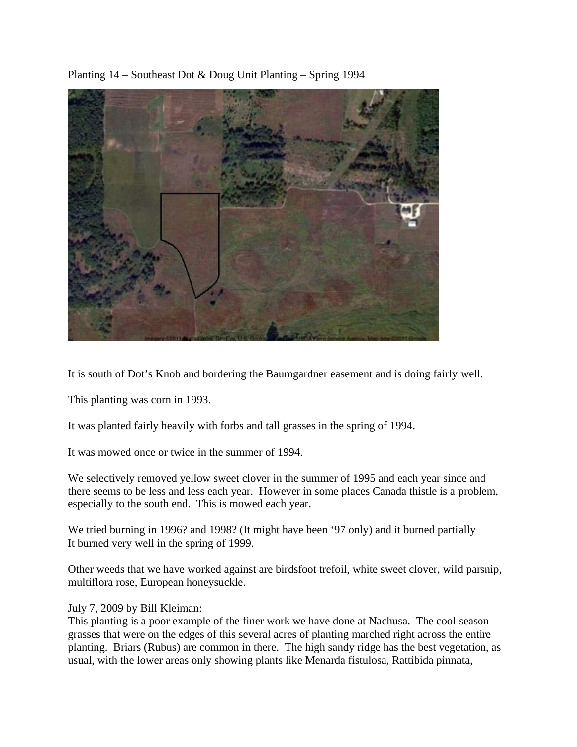Planting 14 – Southeast Dot & Doug Unit Planting – Spring 1994



It is south of Dot's Knob and bordering the Baumgardner easement and is doing fairly well.

This planting was corn in 1993.

It was planted fairly heavily with forbs and tall grasses in the spring of 1994.

It was mowed once or twice in the summer of 1994.

We selectively removed yellow sweet clover in the summer of 1995 and each year since and there seems to be less and less each year. However in some places Canada thistle is a problem, especially to the south end. This is mowed each year.

We tried burning in 1996? and 1998? (It might have been '97 only) and it burned partially It burned very well in the spring of 1999.

Other weeds that we have worked against are birdsfoot trefoil, white sweet clover, wild parsnip, multiflora rose, European honeysuckle.

# July 7, 2009 by Bill Kleiman:

This planting is a poor example of the finer work we have done at Nachusa. The cool season grasses that were on the edges of this several acres of planting marched right across the entire planting. Briars (Rubus) are common in there. The high sandy ridge has the best vegetation, as usual, with the lower areas only showing plants like Menarda fistulosa, Rattibida pinnata,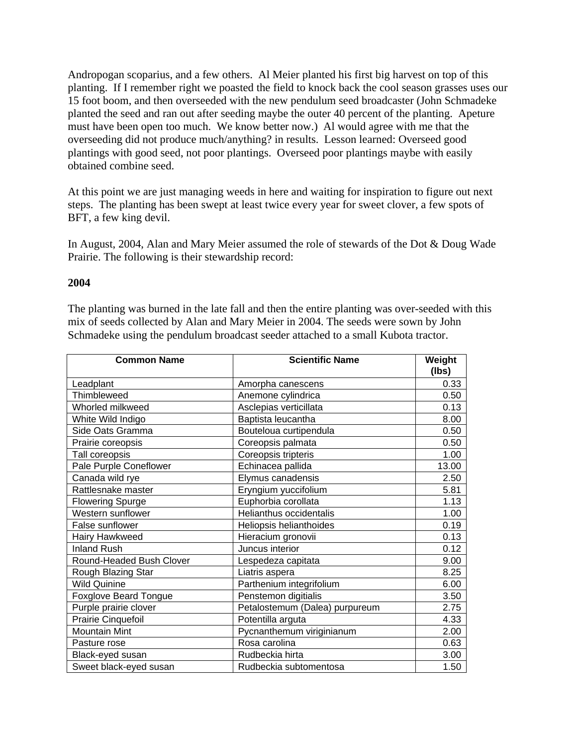Andropogan scoparius, and a few others. Al Meier planted his first big harvest on top of this planting. If I remember right we poasted the field to knock back the cool season grasses uses our 15 foot boom, and then overseeded with the new pendulum seed broadcaster (John Schmadeke planted the seed and ran out after seeding maybe the outer 40 percent of the planting. Apeture must have been open too much. We know better now.) Al would agree with me that the overseeding did not produce much/anything? in results. Lesson learned: Overseed good plantings with good seed, not poor plantings. Overseed poor plantings maybe with easily obtained combine seed.

At this point we are just managing weeds in here and waiting for inspiration to figure out next steps. The planting has been swept at least twice every year for sweet clover, a few spots of BFT, a few king devil.

In August, 2004, Alan and Mary Meier assumed the role of stewards of the Dot & Doug Wade Prairie. The following is their stewardship record:

### **2004**

The planting was burned in the late fall and then the entire planting was over-seeded with this mix of seeds collected by Alan and Mary Meier in 2004. The seeds were sown by John Schmadeke using the pendulum broadcast seeder attached to a small Kubota tractor.

| <b>Common Name</b>           | <b>Scientific Name</b>         | Weight<br>(lbs) |
|------------------------------|--------------------------------|-----------------|
| Leadplant                    | Amorpha canescens              | 0.33            |
| Thimbleweed                  | Anemone cylindrica             | 0.50            |
| Whorled milkweed             | Asclepias verticillata         | 0.13            |
| White Wild Indigo            | Baptista leucantha             | 8.00            |
| Side Oats Gramma             | Bouteloua curtipendula         | 0.50            |
| Prairie coreopsis            | Coreopsis palmata              | 0.50            |
| Tall coreopsis               | Coreopsis tripteris            | 1.00            |
| Pale Purple Coneflower       | Echinacea pallida              | 13.00           |
| Canada wild rye              | Elymus canadensis              | 2.50            |
| Rattlesnake master           | Eryngium yuccifolium           | 5.81            |
| <b>Flowering Spurge</b>      | Euphorbia corollata            | 1.13            |
| Western sunflower            | Helianthus occidentalis        | 1.00            |
| False sunflower              | Heliopsis helianthoides        | 0.19            |
| Hairy Hawkweed               | Hieracium gronovii             | 0.13            |
| <b>Inland Rush</b>           | Juncus interior                | 0.12            |
| Round-Headed Bush Clover     | Lespedeza capitata             | 9.00            |
| Rough Blazing Star           | Liatris aspera                 | 8.25            |
| <b>Wild Quinine</b>          | Parthenium integrifolium       | 6.00            |
| <b>Foxglove Beard Tongue</b> | Penstemon digitialis           | 3.50            |
| Purple prairie clover        | Petalostemum (Dalea) purpureum | 2.75            |
| Prairie Cinquefoil           | Potentilla arguta              | 4.33            |
| <b>Mountain Mint</b>         | Pycnanthemum viriginianum      | 2.00            |
| Pasture rose                 | Rosa carolina                  | 0.63            |
| Black-eyed susan             | Rudbeckia hirta                | 3.00            |
| Sweet black-eyed susan       | Rudbeckia subtomentosa         | 1.50            |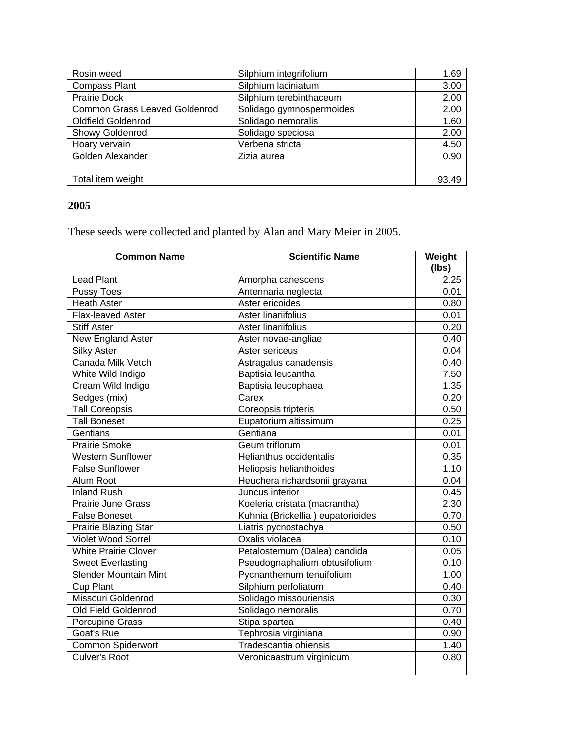| Rosin weed                           | Silphium integrifolium   | 1.69  |
|--------------------------------------|--------------------------|-------|
| <b>Compass Plant</b>                 | Silphium laciniatum      | 3.00  |
| Prairie Dock                         | Silphium terebinthaceum  | 2.00  |
| <b>Common Grass Leaved Goldenrod</b> | Solidago gymnospermoides | 2.00  |
| <b>Oldfield Goldenrod</b>            | Solidago nemoralis       | 1.60  |
| Showy Goldenrod                      | Solidago speciosa        | 2.00  |
| Hoary vervain                        | Verbena stricta          | 4.50  |
| Golden Alexander                     | Zizia aurea              | 0.90  |
|                                      |                          |       |
| Total item weight                    |                          | 93.49 |

# **2005**

These seeds were collected and planted by Alan and Mary Meier in 2005.

| <b>Common Name</b>           | <b>Scientific Name</b>            | Weight<br>(Ibs) |
|------------------------------|-----------------------------------|-----------------|
| <b>Lead Plant</b>            | Amorpha canescens                 | 2.25            |
| Pussy Toes                   | Antennaria neglecta               | 0.01            |
| <b>Heath Aster</b>           | Aster ericoides                   | 0.80            |
| Flax-leaved Aster            | Aster linariifolius               | 0.01            |
| <b>Stiff Aster</b>           | Aster linariifolius               | 0.20            |
| <b>New England Aster</b>     | Aster novae-angliae               | 0.40            |
| <b>Silky Aster</b>           | Aster sericeus                    | 0.04            |
| Canada Milk Vetch            | Astragalus canadensis             | 0.40            |
| White Wild Indigo            | Baptisia leucantha                | 7.50            |
| Cream Wild Indigo            | Baptisia leucophaea               | 1.35            |
| Sedges (mix)                 | Carex                             | 0.20            |
| <b>Tall Coreopsis</b>        | Coreopsis tripteris               | 0.50            |
| <b>Tall Boneset</b>          | Eupatorium altissimum             | 0.25            |
| Gentians                     | Gentiana                          | 0.01            |
| <b>Prairie Smoke</b>         | Geum triflorum                    | 0.01            |
| <b>Western Sunflower</b>     | Helianthus occidentalis           | 0.35            |
| <b>False Sunflower</b>       | Heliopsis helianthoides           | 1.10            |
| Alum Root                    | Heuchera richardsonii grayana     | 0.04            |
| <b>Inland Rush</b>           | Juncus interior                   | 0.45            |
| <b>Prairie June Grass</b>    | Koeleria cristata (macrantha)     | 2.30            |
| <b>False Boneset</b>         | Kuhnia (Brickellia) eupatorioides | 0.70            |
| Prairie Blazing Star         | Liatris pycnostachya              | 0.50            |
| <b>Violet Wood Sorrel</b>    | Oxalis violacea                   | 0.10            |
| <b>White Prairie Clover</b>  | Petalostemum (Dalea) candida      | 0.05            |
| <b>Sweet Everlasting</b>     | Pseudognaphalium obtusifolium     | 0.10            |
| <b>Slender Mountain Mint</b> | Pycnanthemum tenuifolium          | 1.00            |
| <b>Cup Plant</b>             | Silphium perfoliatum              | 0.40            |
| Missouri Goldenrod           | Solidago missouriensis            | 0.30            |
| Old Field Goldenrod          | Solidago nemoralis                | 0.70            |
| Porcupine Grass              | Stipa spartea                     | 0.40            |
| Goat's Rue                   | Tephrosia virginiana              | 0.90            |
| <b>Common Spiderwort</b>     | Tradescantia ohiensis             | 1.40            |
| <b>Culver's Root</b>         | Veronicaastrum virginicum         | 0.80            |
|                              |                                   |                 |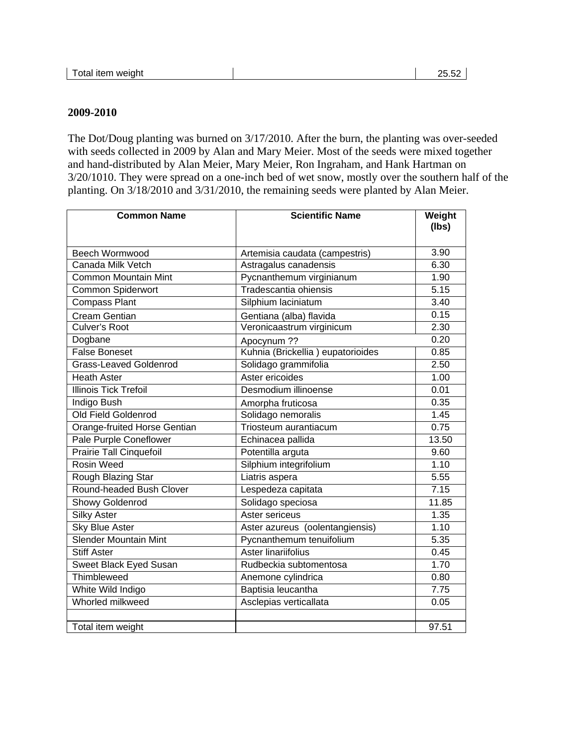#### **2009-2010**

The Dot/Doug planting was burned on 3/17/2010. After the burn, the planting was over-seeded with seeds collected in 2009 by Alan and Mary Meier. Most of the seeds were mixed together and hand-distributed by Alan Meier, Mary Meier, Ron Ingraham, and Hank Hartman on 3/20/1010. They were spread on a one-inch bed of wet snow, mostly over the southern half of the planting. On 3/18/2010 and 3/31/2010, the remaining seeds were planted by Alan Meier.

| <b>Common Name</b>                                    | <b>Scientific Name</b>                                  | Weight<br>(lbs) |
|-------------------------------------------------------|---------------------------------------------------------|-----------------|
| Beech Wormwood                                        |                                                         | 3.90            |
| Canada Milk Vetch                                     | Artemisia caudata (campestris)<br>Astragalus canadensis | 6.30            |
| <b>Common Mountain Mint</b>                           | Pycnanthemum virginianum                                | 1.90            |
| Common Spiderwort                                     | Tradescantia ohiensis                                   | 5.15            |
| <b>Compass Plant</b>                                  | Silphium laciniatum                                     | 3.40            |
| <b>Cream Gentian</b>                                  |                                                         | 0.15            |
| <b>Culver's Root</b>                                  | Gentiana (alba) flavida<br>Veronicaastrum virginicum    | 2.30            |
| Dogbane                                               |                                                         | 0.20            |
| <b>False Boneset</b>                                  | Apocynum ??<br>Kuhnia (Brickellia) eupatorioides        | 0.85            |
| <b>Grass-Leaved Goldenrod</b>                         | Solidago grammifolia                                    | 2.50            |
| <b>Heath Aster</b>                                    | Aster ericoides                                         | 1.00            |
| <b>Illinois Tick Trefoil</b>                          | Desmodium illinoense                                    | 0.01            |
| Indigo Bush                                           |                                                         | 0.35            |
| Old Field Goldenrod                                   | Amorpha fruticosa<br>Solidago nemoralis                 | 1.45            |
| Orange-fruited Horse Gentian                          | Triosteum aurantiacum                                   | 0.75            |
| Pale Purple Coneflower                                | Echinacea pallida                                       | 13.50           |
| <b>Prairie Tall Cinquefoil</b>                        | Potentilla arguta                                       | 9.60            |
| <b>Rosin Weed</b>                                     | Silphium integrifolium                                  | 1.10            |
|                                                       | Liatris aspera                                          | 5.55            |
| Rough Blazing Star<br>Round-headed Bush Clover        |                                                         | 7.15            |
|                                                       | Lespedeza capitata                                      |                 |
| Showy Goldenrod                                       | Solidago speciosa<br>Aster sericeus                     | 11.85           |
| <b>Silky Aster</b>                                    |                                                         | 1.35            |
| <b>Sky Blue Aster</b><br><b>Slender Mountain Mint</b> | Aster azureus (oolentangiensis)                         | 1.10            |
|                                                       | Pycnanthemum tenuifolium                                | 5.35            |
| <b>Stiff Aster</b>                                    | Aster linariifolius                                     | 0.45            |
| Sweet Black Eyed Susan                                | Rudbeckia subtomentosa                                  | 1.70            |
| Thimbleweed                                           | Anemone cylindrica                                      | 0.80            |
| White Wild Indigo                                     | Baptisia leucantha                                      | 7.75            |
| Whorled milkweed                                      | Asclepias verticallata                                  | 0.05            |
| Total item weight                                     |                                                         | 97.51           |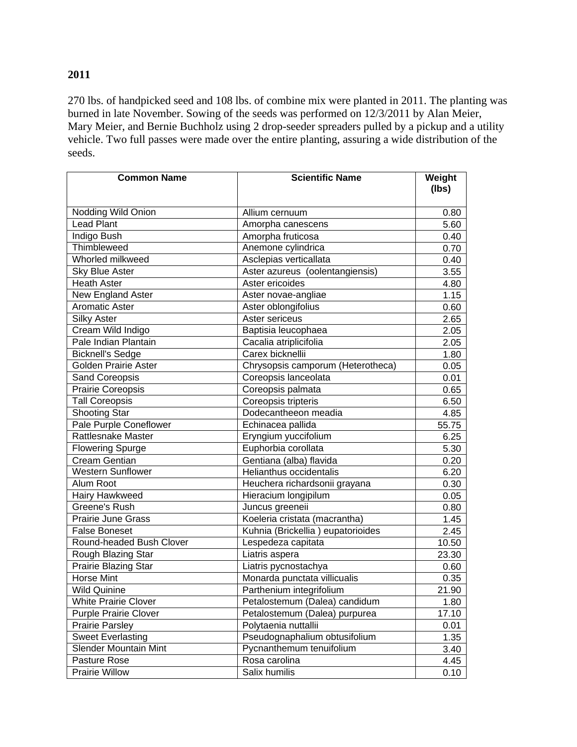# **2011**

270 lbs. of handpicked seed and 108 lbs. of combine mix were planted in 2011. The planting was burned in late November. Sowing of the seeds was performed on 12/3/2011 by Alan Meier, Mary Meier, and Bernie Buchholz using 2 drop-seeder spreaders pulled by a pickup and a utility vehicle. Two full passes were made over the entire planting, assuring a wide distribution of the seeds.

| <b>Common Name</b>           | <b>Scientific Name</b>            | Weight |
|------------------------------|-----------------------------------|--------|
|                              |                                   | (lbs)  |
| Nodding Wild Onion           | Allium cernuum                    | 0.80   |
| <b>Lead Plant</b>            | Amorpha canescens                 | 5.60   |
| Indigo Bush                  | Amorpha fruticosa                 | 0.40   |
| Thimbleweed                  | Anemone cylindrica                | 0.70   |
| Whorled milkweed             | Asclepias verticallata            | 0.40   |
| Sky Blue Aster               | Aster azureus (oolentangiensis)   | 3.55   |
| <b>Heath Aster</b>           | Aster ericoides                   | 4.80   |
| New England Aster            | Aster novae-angliae               | 1.15   |
| <b>Aromatic Aster</b>        | Aster oblongifolius               | 0.60   |
| <b>Silky Aster</b>           | Aster sericeus                    | 2.65   |
| Cream Wild Indigo            | Baptisia leucophaea               | 2.05   |
| Pale Indian Plantain         | Cacalia atriplicifolia            | 2.05   |
| <b>Bicknell's Sedge</b>      | Carex bicknellii                  | 1.80   |
| <b>Golden Prairie Aster</b>  | Chrysopsis camporum (Heterotheca) | 0.05   |
| Sand Coreopsis               | Coreopsis lanceolata              | 0.01   |
| <b>Prairie Coreopsis</b>     | Coreopsis palmata                 | 0.65   |
| <b>Tall Coreopsis</b>        | Coreopsis tripteris               | 6.50   |
| <b>Shooting Star</b>         | Dodecantheeon meadia              | 4.85   |
| Pale Purple Coneflower       | Echinacea pallida                 | 55.75  |
| <b>Rattlesnake Master</b>    | Eryngium yuccifolium              | 6.25   |
| <b>Flowering Spurge</b>      | Euphorbia corollata               | 5.30   |
| <b>Cream Gentian</b>         | Gentiana (alba) flavida           | 0.20   |
| <b>Western Sunflower</b>     | Helianthus occidentalis           | 6.20   |
| Alum Root                    | Heuchera richardsonii grayana     | 0.30   |
| Hairy Hawkweed               | Hieracium longipilum              | 0.05   |
| Greene's Rush                | Juncus greeneii                   | 0.80   |
| Prairie June Grass           | Koeleria cristata (macrantha)     | 1.45   |
| <b>False Boneset</b>         | Kuhnia (Brickellia) eupatorioides | 2.45   |
| Round-headed Bush Clover     | Lespedeza capitata                | 10.50  |
| Rough Blazing Star           | Liatris aspera                    | 23.30  |
| Prairie Blazing Star         | Liatris pycnostachya              | 0.60   |
| <b>Horse Mint</b>            | Monarda punctata villicualis      | 0.35   |
| <b>Wild Quinine</b>          | Parthenium integrifolium          | 21.90  |
| <b>White Prairie Clover</b>  | Petalostemum (Dalea) candidum     | 1.80   |
| <b>Purple Prairie Clover</b> | Petalostemum (Dalea) purpurea     | 17.10  |
| <b>Prairie Parsley</b>       | Polytaenia nuttallii              | 0.01   |
| <b>Sweet Everlasting</b>     | Pseudognaphalium obtusifolium     | 1.35   |
| <b>Slender Mountain Mint</b> | Pycnanthemum tenuifolium          | 3.40   |
| Pasture Rose                 | Rosa carolina                     | 4.45   |
| Prairie Willow               | Salix humilis                     | 0.10   |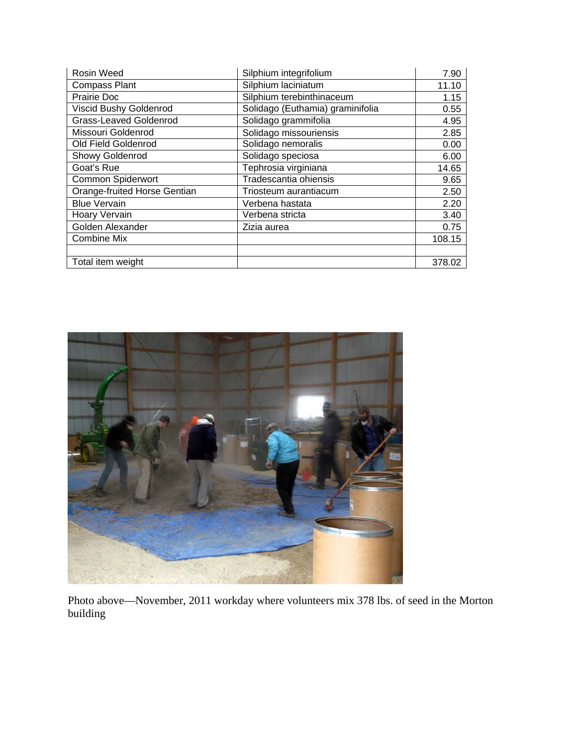| <b>Rosin Weed</b>            | Silphium integrifolium           | 7.90   |
|------------------------------|----------------------------------|--------|
| <b>Compass Plant</b>         | Silphium laciniatum              | 11.10  |
| Prairie Doc                  | Silphium terebinthinaceum        | 1.15   |
| Viscid Bushy Goldenrod       | Solidago (Euthamia) graminifolia | 0.55   |
| Grass-Leaved Goldenrod       | Solidago grammifolia             | 4.95   |
| Missouri Goldenrod           | Solidago missouriensis           | 2.85   |
| Old Field Goldenrod          | Solidago nemoralis               | 0.00   |
| <b>Showy Goldenrod</b>       | Solidago speciosa                | 6.00   |
| Goat's Rue                   | Tephrosia virginiana             | 14.65  |
| <b>Common Spiderwort</b>     | Tradescantia ohiensis            | 9.65   |
| Orange-fruited Horse Gentian | Triosteum aurantiacum            | 2.50   |
| <b>Blue Vervain</b>          | Verbena hastata                  | 2.20   |
| Hoary Vervain                | Verbena stricta                  | 3.40   |
| Golden Alexander             | Zizia aurea                      | 0.75   |
| <b>Combine Mix</b>           |                                  | 108.15 |
|                              |                                  |        |
| Total item weight            |                                  | 378.02 |



Photo above—November, 2011 workday where volunteers mix 378 lbs. of seed in the Morton building